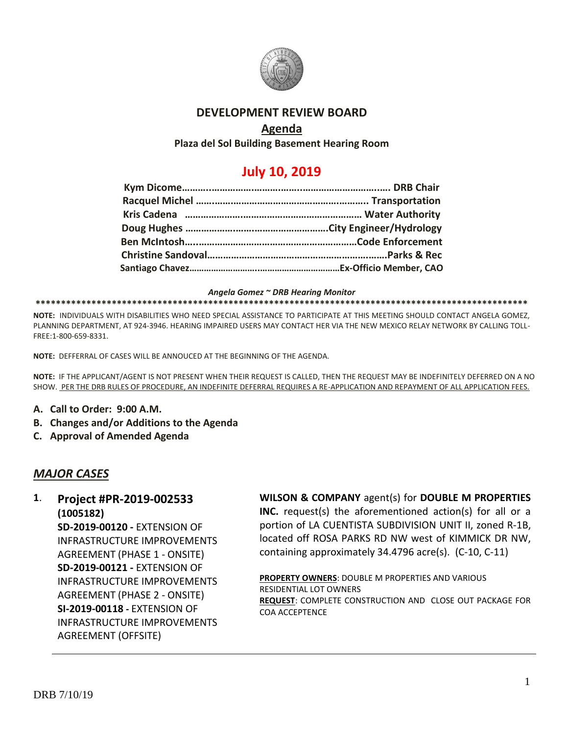

## **DEVELOPMENT REVIEW BOARD**

## **Agenda**

**Plaza del Sol Building Basement Hearing Room**

# **July 10, 2019**

#### *Angela Gomez ~ DRB Hearing Monitor*

**\*\*\*\*\*\*\*\*\*\*\*\*\*\*\*\*\*\*\*\*\*\*\*\*\*\*\*\*\*\*\*\*\*\*\*\*\*\*\*\*\*\*\*\*\*\*\*\*\*\*\*\*\*\*\*\*\*\*\*\*\*\*\*\*\*\*\*\*\*\*\*\*\*\*\*\*\*\*\*\*\*\*\*\*\*\*\*\*\*\*\*\*\*\*\*\*\***

**NOTE:** INDIVIDUALS WITH DISABILITIES WHO NEED SPECIAL ASSISTANCE TO PARTICIPATE AT THIS MEETING SHOULD CONTACT ANGELA GOMEZ, PLANNING DEPARTMENT, AT 924-3946. HEARING IMPAIRED USERS MAY CONTACT HER VIA THE NEW MEXICO RELAY NETWORK BY CALLING TOLL-FREE:1-800-659-8331.

**NOTE:** DEFFERRAL OF CASES WILL BE ANNOUCED AT THE BEGINNING OF THE AGENDA.

**NOTE:** IF THE APPLICANT/AGENT IS NOT PRESENT WHEN THEIR REQUEST IS CALLED, THEN THE REQUEST MAY BE INDEFINITELY DEFERRED ON A NO SHOW. PER THE DRB RULES OF PROCEDURE, AN INDEFINITE DEFERRAL REQUIRES A RE-APPLICATION AND REPAYMENT OF ALL APPLICATION FEES.

- **A. Call to Order: 9:00 A.M.**
- **B. Changes and/or Additions to the Agenda**
- **C. Approval of Amended Agenda**

## *MAJOR CASES*

#### **1**. **Project #PR-2019-002533 (1005182)**

**SD-2019-00120 -** EXTENSION OF INFRASTRUCTURE IMPROVEMENTS AGREEMENT (PHASE 1 - ONSITE) **SD-2019-00121 -** EXTENSION OF INFRASTRUCTURE IMPROVEMENTS AGREEMENT (PHASE 2 - ONSITE) **SI-2019-00118 -** EXTENSION OF INFRASTRUCTURE IMPROVEMENTS AGREEMENT (OFFSITE)

#### **WILSON & COMPANY** agent(s) for **DOUBLE M PROPERTIES**

**INC.** request(s) the aforementioned action(s) for all or a portion of LA CUENTISTA SUBDIVISION UNIT II, zoned R-1B, located off ROSA PARKS RD NW west of KIMMICK DR NW, containing approximately 34.4796 acre(s). (C-10, C-11)

**PROPERTY OWNERS**: DOUBLE M PROPERTIES AND VARIOUS RESIDENTIAL LOT OWNERS **REQUEST**: COMPLETE CONSTRUCTION AND CLOSE OUT PACKAGE FOR COA ACCEPTENCE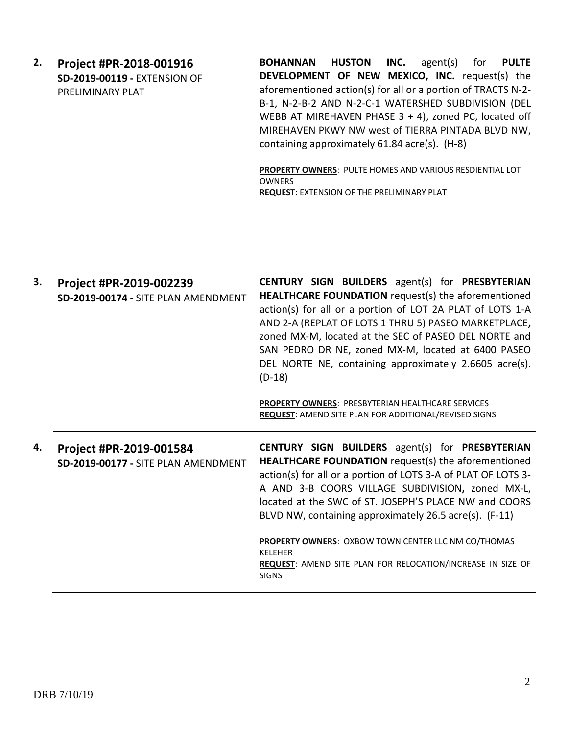**2. Project #PR-2018-001916 SD-2019-00119 -** EXTENSION OF PRELIMINARY PLAT

**BOHANNAN HUSTON INC.** agent(s) for **PULTE DEVELOPMENT OF NEW MEXICO, INC.** request(s) the aforementioned action(s) for all or a portion of TRACTS N-2- B-1, N-2-B-2 AND N-2-C-1 WATERSHED SUBDIVISION (DEL WEBB AT MIREHAVEN PHASE 3 + 4), zoned PC, located off MIREHAVEN PKWY NW west of TIERRA PINTADA BLVD NW, containing approximately 61.84 acre(s). (H-8)

**PROPERTY OWNERS**: PULTE HOMES AND VARIOUS RESDIENTIAL LOT OWNERS **REQUEST**: EXTENSION OF THE PRELIMINARY PLAT

| 3. | Project #PR-2019-002239<br>SD-2019-00174 - SITE PLAN AMENDMENT | CENTURY SIGN BUILDERS agent(s) for PRESBYTERIAN<br><b>HEALTHCARE FOUNDATION</b> request(s) the aforementioned<br>action(s) for all or a portion of LOT 2A PLAT of LOTS 1-A<br>AND 2-A (REPLAT OF LOTS 1 THRU 5) PASEO MARKETPLACE,<br>zoned MX-M, located at the SEC of PASEO DEL NORTE and<br>SAN PEDRO DR NE, zoned MX-M, located at 6400 PASEO<br>DEL NORTE NE, containing approximately 2.6605 acre(s).<br>$(D-18)$<br><b>PROPERTY OWNERS: PRESBYTERIAN HEALTHCARE SERVICES</b><br><b>REQUEST: AMEND SITE PLAN FOR ADDITIONAL/REVISED SIGNS</b> |
|----|----------------------------------------------------------------|-----------------------------------------------------------------------------------------------------------------------------------------------------------------------------------------------------------------------------------------------------------------------------------------------------------------------------------------------------------------------------------------------------------------------------------------------------------------------------------------------------------------------------------------------------|
| 4. | Project #PR-2019-001584<br>SD-2019-00177 - SITE PLAN AMENDMENT | <b>CENTURY SIGN BUILDERS</b> agent(s) for <b>PRESBYTERIAN</b><br>HEALTHCARE FOUNDATION request(s) the aforementioned<br>action(s) for all or a portion of LOTS 3-A of PLAT OF LOTS 3-<br>A AND 3-B COORS VILLAGE SUBDIVISION, zoned MX-L,<br>located at the SWC of ST. JOSEPH'S PLACE NW and COORS<br>BLVD NW, containing approximately 26.5 acre(s). (F-11)<br>PROPERTY OWNERS: OXBOW TOWN CENTER LLC NM CO/THOMAS<br><b>KELEHER</b><br>REQUEST: AMEND SITE PLAN FOR RELOCATION/INCREASE IN SIZE OF<br><b>SIGNS</b>                                |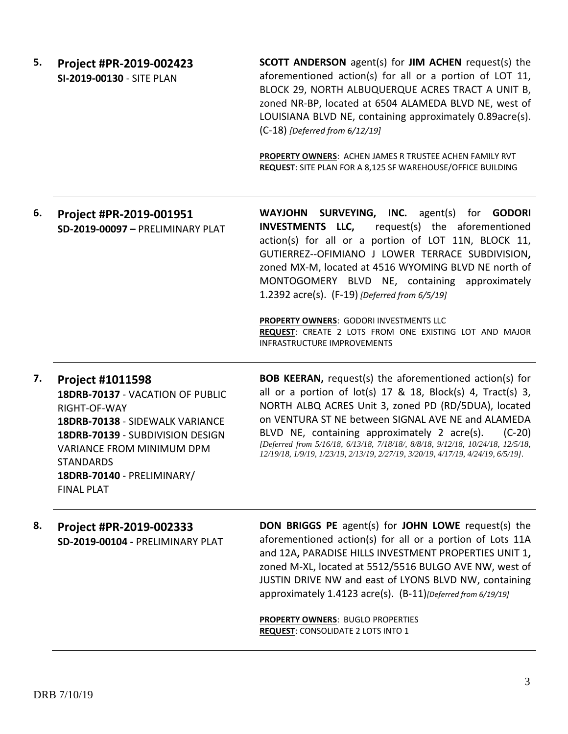**5. Project #PR-2019-002423 SI-2019-00130** - SITE PLAN **SCOTT ANDERSON** agent(s) for **JIM ACHEN** request(s) the aforementioned action(s) for all or a portion of LOT 11, BLOCK 29, NORTH ALBUQUERQUE ACRES TRACT A UNIT B, zoned NR-BP, located at 6504 ALAMEDA BLVD NE, west of LOUISIANA BLVD NE, containing approximately 0.89acre(s). (C-18) *[Deferred from 6/12/19]*

> **PROPERTY OWNERS**: ACHEN JAMES R TRUSTEE ACHEN FAMILY RVT **REQUEST**: SITE PLAN FOR A 8,125 SF WAREHOUSE/OFFICE BUILDING

**6. Project #PR-2019-001951 SD-2019-00097 –** PRELIMINARY PLAT

**WAYJOHN SURVEYING, INC.** agent(s) for **GODORI INVESTMENTS LLC,** request(s) the aforementioned action(s) for all or a portion of LOT 11N, BLOCK 11, GUTIERREZ--OFIMIANO J LOWER TERRACE SUBDIVISION**,**  zoned MX-M, located at 4516 WYOMING BLVD NE north of MONTOGOMERY BLVD NE, containing approximately 1.2392 acre(s). (F-19) *[Deferred from 6/5/19]*

**PROPERTY OWNERS**: GODORI INVESTMENTS LLC **REQUEST**: CREATE 2 LOTS FROM ONE EXISTING LOT AND MAJOR INFRASTRUCTURE IMPROVEMENTS

**7. Project #1011598 18DRB-70137** - VACATION OF PUBLIC RIGHT-OF-WAY **18DRB-70138** - SIDEWALK VARIANCE **18DRB-70139** - SUBDIVISION DESIGN VARIANCE FROM MINIMUM DPM **STANDARDS 18DRB-70140** - PRELIMINARY/ FINAL PLAT

**BOB KEERAN,** request(s) the aforementioned action(s) for all or a portion of lot(s) 17 & 18, Block(s) 4, Tract(s) 3, NORTH ALBQ ACRES Unit 3, zoned PD (RD/5DUA), located on VENTURA ST NE between SIGNAL AVE NE and ALAMEDA BLVD NE, containing approximately 2 acre(s). (C-20) *[Deferred from 5/16/18, 6/13/18, 7/18/18/, 8/8/18, 9/12/18, 10/24/18, 12/5/18, 12/19/18, 1/9/19, 1/23/19, 2/13/19, 2/27/19, 3/20/19, 4/17/19, 4/24/19, 6/5/19].*

**8. Project #PR-2019-002333 SD-2019-00104 -** PRELIMINARY PLAT **DON BRIGGS PE** agent(s) for **JOHN LOWE** request(s) the aforementioned action(s) for all or a portion of Lots 11A and 12A**,** PARADISE HILLS INVESTMENT PROPERTIES UNIT 1**,** zoned M-XL, located at 5512/5516 BULGO AVE NW, west of JUSTIN DRIVE NW and east of LYONS BLVD NW, containing approximately 1.4123 acre(s). (B-11)*[Deferred from 6/19/19]*

> **PROPERTY OWNERS**: BUGLO PROPERTIES **REQUEST**: CONSOLIDATE 2 LOTS INTO 1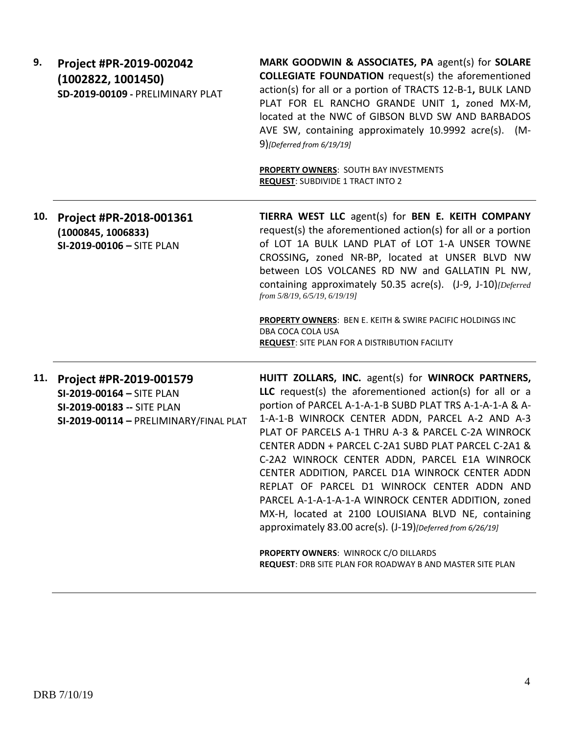| 9.  | Project #PR-2019-002042<br>(1002822, 1001450)<br>SD-2019-00109 - PRELIMINARY PLAT                                                | MARK GOODWIN & ASSOCIATES, PA agent(s) for SOLARE<br><b>COLLEGIATE FOUNDATION</b> request(s) the aforementioned<br>action(s) for all or a portion of TRACTS 12-B-1, BULK LAND<br>PLAT FOR EL RANCHO GRANDE UNIT 1, zoned MX-M,<br>located at the NWC of GIBSON BLVD SW AND BARBADOS<br>AVE SW, containing approximately 10.9992 acre(s). (M-<br>$9$ [Deferred from 6/19/19]<br>PROPERTY OWNERS: SOUTH BAY INVESTMENTS<br><b>REQUEST: SUBDIVIDE 1 TRACT INTO 2</b>                                                                                                                                                                                                                                                                                                                |
|-----|----------------------------------------------------------------------------------------------------------------------------------|----------------------------------------------------------------------------------------------------------------------------------------------------------------------------------------------------------------------------------------------------------------------------------------------------------------------------------------------------------------------------------------------------------------------------------------------------------------------------------------------------------------------------------------------------------------------------------------------------------------------------------------------------------------------------------------------------------------------------------------------------------------------------------|
| 10. | Project #PR-2018-001361<br>(1000845, 1006833)<br>SI-2019-00106 - SITE PLAN                                                       | TIERRA WEST LLC agent(s) for BEN E. KEITH COMPANY<br>request(s) the aforementioned action(s) for all or a portion<br>of LOT 1A BULK LAND PLAT of LOT 1-A UNSER TOWNE<br>CROSSING, zoned NR-BP, located at UNSER BLVD NW<br>between LOS VOLCANES RD NW and GALLATIN PL NW,<br>containing approximately 50.35 acre(s). (J-9, J-10)[Deferred<br>from 5/8/19, 6/5/19, 6/19/19]<br>PROPERTY OWNERS: BEN E. KEITH & SWIRE PACIFIC HOLDINGS INC<br>DBA COCA COLA USA<br><b>REQUEST:</b> SITE PLAN FOR A DISTRIBUTION FACILITY                                                                                                                                                                                                                                                           |
|     | 11. Project #PR-2019-001579<br>SI-2019-00164 - SITE PLAN<br>SI-2019-00183 -- SITE PLAN<br>SI-2019-00114 - PRELIMINARY/FINAL PLAT | HUITT ZOLLARS, INC. agent(s) for WINROCK PARTNERS,<br>LLC request(s) the aforementioned action(s) for all or a<br>portion of PARCEL A-1-A-1-B SUBD PLAT TRS A-1-A-1-A & A-<br>1-A-1-B WINROCK CENTER ADDN, PARCEL A-2 AND A-3<br>PLAT OF PARCELS A-1 THRU A-3 & PARCEL C-2A WINROCK<br>CENTER ADDN + PARCEL C-2A1 SUBD PLAT PARCEL C-2A1 &<br>C-2A2 WINROCK CENTER ADDN, PARCEL E1A WINROCK<br>CENTER ADDITION, PARCEL D1A WINROCK CENTER ADDN<br>REPLAT OF PARCEL D1 WINROCK CENTER ADDN AND<br>PARCEL A-1-A-1-A-1-A WINROCK CENTER ADDITION, zoned<br>MX-H, located at 2100 LOUISIANA BLVD NE, containing<br>approximately 83.00 acre(s). (J-19) [Deferred from 6/26/19]<br>PROPERTY OWNERS: WINROCK C/O DILLARDS<br>REQUEST: DRB SITE PLAN FOR ROADWAY B AND MASTER SITE PLAN |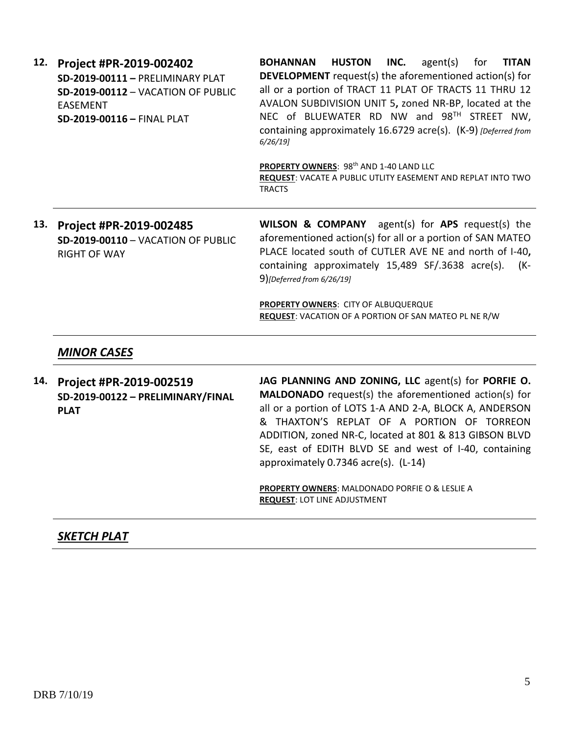| 12. | Project #PR-2019-002402<br>SD-2019-00111 - PRELIMINARY PLAT<br>SD-2019-00112 - VACATION OF PUBLIC<br>EASEMENT<br>SD-2019-00116 - FINAL PLAT | <b>HUSTON</b><br>INC.<br>agent(s)<br>for<br><b>BOHANNAN</b><br>TITAN<br><b>DEVELOPMENT</b> request(s) the aforementioned action(s) for<br>all or a portion of TRACT 11 PLAT OF TRACTS 11 THRU 12<br>AVALON SUBDIVISION UNIT 5, zoned NR-BP, located at the<br>NEC of BLUEWATER RD NW and 98TH STREET NW,<br>containing approximately 16.6729 acre(s). (K-9) [Deferred from<br>6/26/19<br>PROPERTY OWNERS: 98 <sup>th</sup> AND 1-40 LAND LLC<br>REQUEST: VACATE A PUBLIC UTLITY EASEMENT AND REPLAT INTO TWO<br><b>TRACTS</b> |
|-----|---------------------------------------------------------------------------------------------------------------------------------------------|-------------------------------------------------------------------------------------------------------------------------------------------------------------------------------------------------------------------------------------------------------------------------------------------------------------------------------------------------------------------------------------------------------------------------------------------------------------------------------------------------------------------------------|
| 13. | Project #PR-2019-002485<br>SD-2019-00110 - VACATION OF PUBLIC<br><b>RIGHT OF WAY</b>                                                        | WILSON & COMPANY agent(s) for APS request(s) the<br>aforementioned action(s) for all or a portion of SAN MATEO<br>PLACE located south of CUTLER AVE NE and north of I-40,<br>containing approximately 15,489 SF/.3638 acre(s).<br>(K-<br>$9)$ [Deferred from 6/26/19]                                                                                                                                                                                                                                                         |
|     |                                                                                                                                             |                                                                                                                                                                                                                                                                                                                                                                                                                                                                                                                               |

**PROPERTY OWNERS**: CITY OF ALBUQUERQUE **REQUEST**: VACATION OF A PORTION OF SAN MATEO PL NE R/W

### *MINOR CASES*

**14. Project #PR-2019-002519 SD-2019-00122 – PRELIMINARY/FINAL PLAT**

**JAG PLANNING AND ZONING, LLC** agent(s) for **PORFIE O. MALDONADO** request(s) the aforementioned action(s) for all or a portion of LOTS 1-A AND 2-A, BLOCK A, ANDERSON & THAXTON'S REPLAT OF A PORTION OF TORREON ADDITION, zoned NR-C, located at 801 & 813 GIBSON BLVD SE, east of EDITH BLVD SE and west of I-40, containing approximately 0.7346 acre(s). (L-14)

**PROPERTY OWNERS**: MALDONADO PORFIE O & LESLIE A **REQUEST**: LOT LINE ADJUSTMENT

## *SKETCH PLAT*